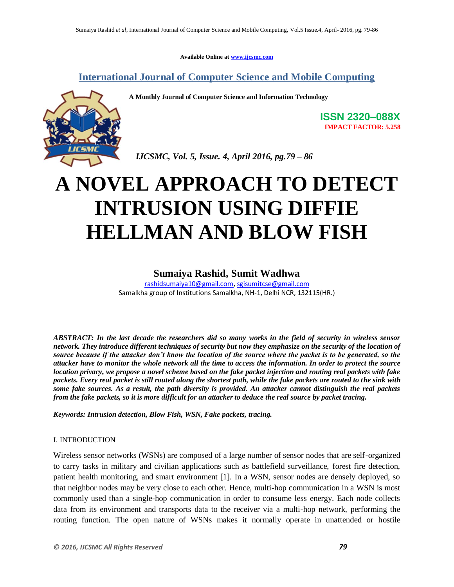**Available Online at [www.ijcsmc.com](http://www.ijcsmc.com/)**

## **International Journal of Computer Science and Mobile Computing**

**A Monthly Journal of Computer Science and Information Technology**



**ISSN 2320–088X IMPACT FACTOR: 5.258**

 *IJCSMC, Vol. 5, Issue. 4, April 2016, pg.79 – 86*

# **A NOVEL APPROACH TO DETECT INTRUSION USING DIFFIE HELLMAN AND BLOW FISH**

# **Sumaiya Rashid, Sumit Wadhwa**

[rashidsumaiya10@gmail.com,](mailto:rashidsumaiya10@gmail.com) [sgisumitcse@gmail.com](mailto:sgisumitcse@gmail.com) Samalkha group of Institutions Samalkha, NH-1, Delhi NCR, 132115(HR.)

*ABSTRACT: In the last decade the researchers did so many works in the field of security in wireless sensor network. They introduce different techniques of security but now they emphasize on the security of the location of source because if the attacker don't know the location of the source where the packet is to be generated, so the attacker have to monitor the whole network all the time to access the information. In order to protect the source location privacy, we propose a novel scheme based on the fake packet injection and routing real packets with fake packets. Every real packet is still routed along the shortest path, while the fake packets are routed to the sink with some fake sources. As a result, the path diversity is provided. An attacker cannot distinguish the real packets from the fake packets, so it is more difficult for an attacker to deduce the real source by packet tracing.*

*Keywords: Intrusion detection, Blow Fish, WSN, Fake packets, tracing.*

#### I. INTRODUCTION

Wireless sensor networks (WSNs) are composed of a large number of sensor nodes that are self-organized to carry tasks in military and civilian applications such as battlefield surveillance, forest fire detection, patient health monitoring, and smart environment [1]. In a WSN, sensor nodes are densely deployed, so that neighbor nodes may be very close to each other. Hence, multi-hop communication in a WSN is most commonly used than a single-hop communication in order to consume less energy. Each node collects data from its environment and transports data to the receiver via a multi-hop network, performing the routing function. The open nature of WSNs makes it normally operate in unattended or hostile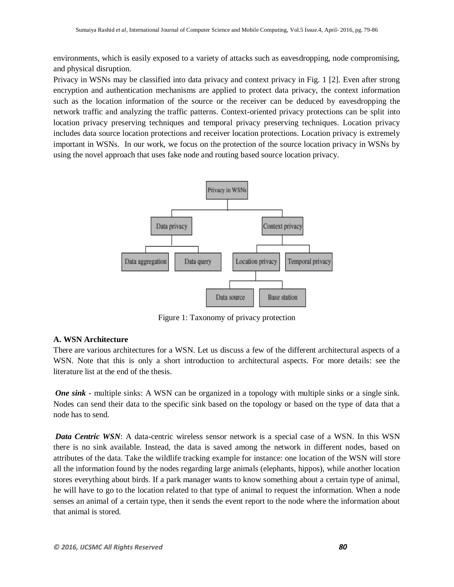environments, which is easily exposed to a variety of attacks such as eavesdropping, node compromising, and physical disruption.

Privacy in WSNs may be classified into data privacy and context privacy in Fig. 1 [2]. Even after strong encryption and authentication mechanisms are applied to protect data privacy, the context information such as the location information of the source or the receiver can be deduced by eavesdropping the network traffic and analyzing the traffic patterns. Context-oriented privacy protections can be split into location privacy preserving techniques and temporal privacy preserving techniques. Location privacy includes data source location protections and receiver location protections. Location privacy is extremely important in WSNs. In our work, we focus on the protection of the source location privacy in WSNs by using the novel approach that uses fake node and routing based source location privacy.



Figure 1: Taxonomy of privacy protection

## **A. WSN Architecture**

There are various architectures for a WSN. Let us discuss a few of the different architectural aspects of a WSN. Note that this is only a short introduction to architectural aspects. For more details: see the literature list at the end of the thesis.

*One sink* - multiple sinks: A WSN can be organized in a topology with multiple sinks or a single sink. Nodes can send their data to the specific sink based on the topology or based on the type of data that a node has to send.

*Data Centric WSN*: A data-centric wireless sensor network is a special case of a WSN. In this WSN there is no sink available. Instead, the data is saved among the network in different nodes, based on attributes of the data. Take the wildlife tracking example for instance: one location of the WSN will store all the information found by the nodes regarding large animals (elephants, hippos), while another location stores everything about birds. If a park manager wants to know something about a certain type of animal, he will have to go to the location related to that type of animal to request the information. When a node senses an animal of a certain type, then it sends the event report to the node where the information about that animal is stored.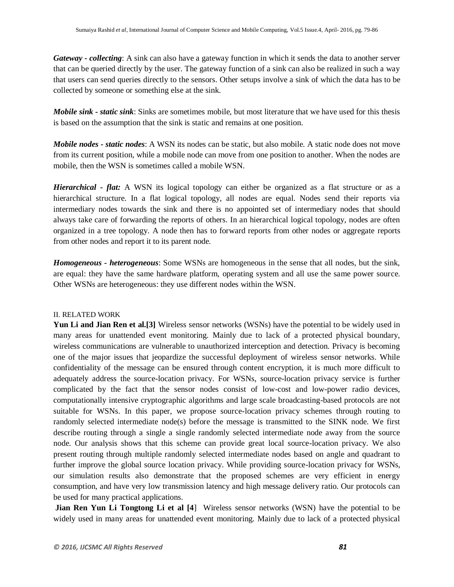*Gateway - collecting*: A sink can also have a gateway function in which it sends the data to another server that can be queried directly by the user. The gateway function of a sink can also be realized in such a way that users can send queries directly to the sensors. Other setups involve a sink of which the data has to be collected by someone or something else at the sink.

*Mobile sink - static sink*: Sinks are sometimes mobile, but most literature that we have used for this thesis is based on the assumption that the sink is static and remains at one position.

*Mobile nodes - static nodes*: A WSN its nodes can be static, but also mobile. A static node does not move from its current position, while a mobile node can move from one position to another. When the nodes are mobile, then the WSN is sometimes called a mobile WSN.

*Hierarchical - flat:* A WSN its logical topology can either be organized as a flat structure or as a hierarchical structure. In a flat logical topology, all nodes are equal. Nodes send their reports via intermediary nodes towards the sink and there is no appointed set of intermediary nodes that should always take care of forwarding the reports of others. In an hierarchical logical topology, nodes are often organized in a tree topology. A node then has to forward reports from other nodes or aggregate reports from other nodes and report it to its parent node.

*Homogeneous - heterogeneous*: Some WSNs are homogeneous in the sense that all nodes, but the sink, are equal: they have the same hardware platform, operating system and all use the same power source. Other WSNs are heterogeneous: they use different nodes within the WSN.

#### II. RELATED WORK

**Yun Li and Jian Ren et al.[3]** Wireless sensor networks (WSNs) have the potential to be widely used in many areas for unattended event monitoring. Mainly due to lack of a protected physical boundary, wireless communications are vulnerable to unauthorized interception and detection. Privacy is becoming one of the major issues that jeopardize the successful deployment of wireless sensor networks. While confidentiality of the message can be ensured through content encryption, it is much more difficult to adequately address the source-location privacy. For WSNs, source-location privacy service is further complicated by the fact that the sensor nodes consist of low-cost and low-power radio devices, computationally intensive cryptographic algorithms and large scale broadcasting-based protocols are not suitable for WSNs. In this paper, we propose source-location privacy schemes through routing to randomly selected intermediate node(s) before the message is transmitted to the SINK node. We first describe routing through a single a single randomly selected intermediate node away from the source node. Our analysis shows that this scheme can provide great local source-location privacy. We also present routing through multiple randomly selected intermediate nodes based on angle and quadrant to further improve the global source location privacy. While providing source-location privacy for WSNs, our simulation results also demonstrate that the proposed schemes are very efficient in energy consumption, and have very low transmission latency and high message delivery ratio. Our protocols can be used for many practical applications.

**Jian Ren Yun Li Tongtong Li et al [4**] Wireless sensor networks (WSN) have the potential to be widely used in many areas for unattended event monitoring. Mainly due to lack of a protected physical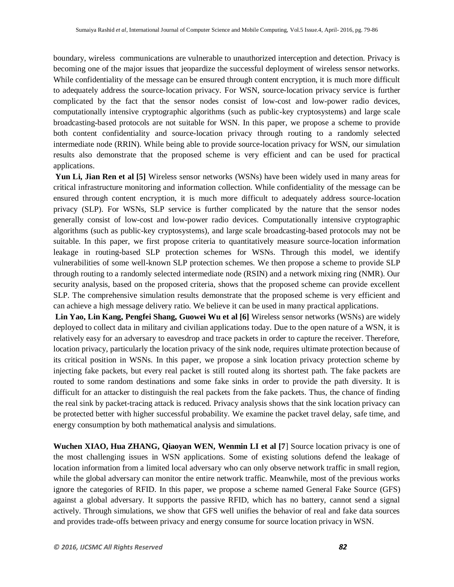boundary, wireless communications are vulnerable to unauthorized interception and detection. Privacy is becoming one of the major issues that jeopardize the successful deployment of wireless sensor networks. While confidentiality of the message can be ensured through content encryption, it is much more difficult to adequately address the source-location privacy. For WSN, source-location privacy service is further complicated by the fact that the sensor nodes consist of low-cost and low-power radio devices, computationally intensive cryptographic algorithms (such as public-key cryptosystems) and large scale broadcasting-based protocols are not suitable for WSN. In this paper, we propose a scheme to provide both content confidentiality and source-location privacy through routing to a randomly selected intermediate node (RRIN). While being able to provide source-location privacy for WSN, our simulation results also demonstrate that the proposed scheme is very efficient and can be used for practical applications.

**Yun Li, Jian Ren et al [5]** Wireless sensor networks (WSNs) have been widely used in many areas for critical infrastructure monitoring and information collection. While confidentiality of the message can be ensured through content encryption, it is much more difficult to adequately address source-location privacy (SLP). For WSNs, SLP service is further complicated by the nature that the sensor nodes generally consist of low-cost and low-power radio devices. Computationally intensive cryptographic algorithms (such as public-key cryptosystems), and large scale broadcasting-based protocols may not be suitable. In this paper, we first propose criteria to quantitatively measure source-location information leakage in routing-based SLP protection schemes for WSNs. Through this model, we identify vulnerabilities of some well-known SLP protection schemes. We then propose a scheme to provide SLP through routing to a randomly selected intermediate node (RSIN) and a network mixing ring (NMR). Our security analysis, based on the proposed criteria, shows that the proposed scheme can provide excellent SLP. The comprehensive simulation results demonstrate that the proposed scheme is very efficient and can achieve a high message delivery ratio. We believe it can be used in many practical applications.

**Lin Yao, Lin Kang, Pengfei Shang, Guowei Wu et al [6]** Wireless sensor networks (WSNs) are widely deployed to collect data in military and civilian applications today. Due to the open nature of a WSN, it is relatively easy for an adversary to eavesdrop and trace packets in order to capture the receiver. Therefore, location privacy, particularly the location privacy of the sink node, requires ultimate protection because of its critical position in WSNs. In this paper, we propose a sink location privacy protection scheme by injecting fake packets, but every real packet is still routed along its shortest path. The fake packets are routed to some random destinations and some fake sinks in order to provide the path diversity. It is difficult for an attacker to distinguish the real packets from the fake packets. Thus, the chance of finding the real sink by packet-tracing attack is reduced. Privacy analysis shows that the sink location privacy can be protected better with higher successful probability. We examine the packet travel delay, safe time, and energy consumption by both mathematical analysis and simulations.

**Wuchen XIAO, Hua ZHANG, Qiaoyan WEN, Wenmin LI et al [7**] Source location privacy is one of the most challenging issues in WSN applications. Some of existing solutions defend the leakage of location information from a limited local adversary who can only observe network traffic in small region, while the global adversary can monitor the entire network traffic. Meanwhile, most of the previous works ignore the categories of RFID. In this paper, we propose a scheme named General Fake Source (GFS) against a global adversary. It supports the passive RFID, which has no battery, cannot send a signal actively. Through simulations, we show that GFS well unifies the behavior of real and fake data sources and provides trade-offs between privacy and energy consume for source location privacy in WSN.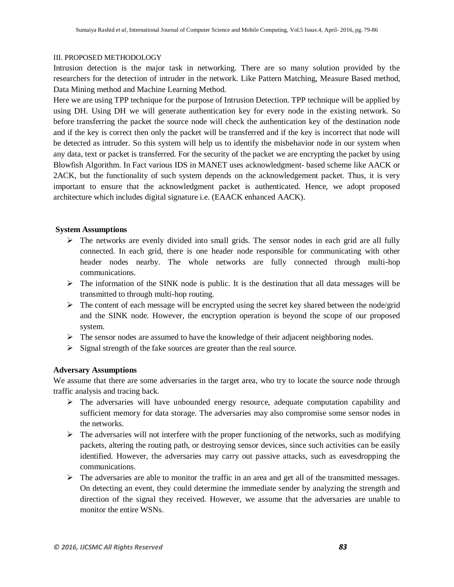#### III. PROPOSED METHODOLOGY

Intrusion detection is the major task in networking. There are so many solution provided by the researchers for the detection of intruder in the network. Like Pattern Matching, Measure Based method, Data Mining method and Machine Learning Method.

Here we are using TPP technique for the purpose of Intrusion Detection. TPP technique will be applied by using DH. Using DH we will generate authentication key for every node in the existing network. So before transferring the packet the source node will check the authentication key of the destination node and if the key is correct then only the packet will be transferred and if the key is incorrect that node will be detected as intruder. So this system will help us to identify the misbehavior node in our system when any data, text or packet is transferred. For the security of the packet we are encrypting the packet by using Blowfish Algorithm. In Fact various IDS in MANET uses acknowledgment- based scheme like AACK or 2ACK, but the functionality of such system depends on the acknowledgement packet. Thus, it is very important to ensure that the acknowledgment packet is authenticated. Hence, we adopt proposed architecture which includes digital signature i.e. (EAACK enhanced AACK).

#### **System Assumptions**

- $\triangleright$  The networks are evenly divided into small grids. The sensor nodes in each grid are all fully connected. In each grid, there is one header node responsible for communicating with other header nodes nearby. The whole networks are fully connected through multi-hop communications.
- $\triangleright$  The information of the SINK node is public. It is the destination that all data messages will be transmitted to through multi-hop routing.
- $\triangleright$  The content of each message will be encrypted using the secret key shared between the node/grid and the SINK node. However, the encryption operation is beyond the scope of our proposed system.
- $\triangleright$  The sensor nodes are assumed to have the knowledge of their adjacent neighboring nodes.
- $\triangleright$  Signal strength of the fake sources are greater than the real source.

#### **Adversary Assumptions**

We assume that there are some adversaries in the target area, who try to locate the source node through traffic analysis and tracing back.

- $\triangleright$  The adversaries will have unbounded energy resource, adequate computation capability and sufficient memory for data storage. The adversaries may also compromise some sensor nodes in the networks.
- $\triangleright$  The adversaries will not interfere with the proper functioning of the networks, such as modifying packets, altering the routing path, or destroying sensor devices, since such activities can be easily identified. However, the adversaries may carry out passive attacks, such as eavesdropping the communications.
- $\triangleright$  The adversaries are able to monitor the traffic in an area and get all of the transmitted messages. On detecting an event, they could determine the immediate sender by analyzing the strength and direction of the signal they received. However, we assume that the adversaries are unable to monitor the entire WSNs.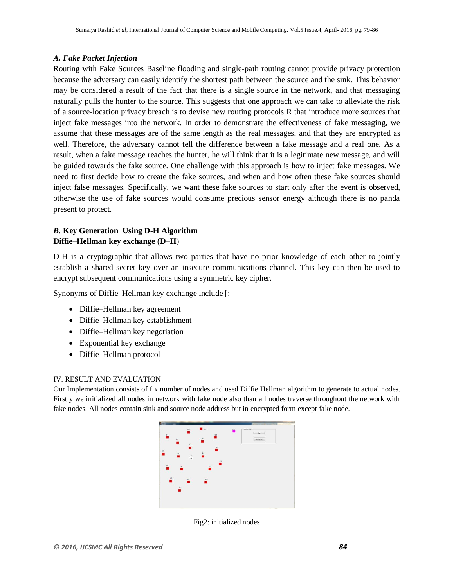#### *A. Fake Packet Injection*

Routing with Fake Sources Baseline flooding and single-path routing cannot provide privacy protection because the adversary can easily identify the shortest path between the source and the sink. This behavior may be considered a result of the fact that there is a single source in the network, and that messaging naturally pulls the hunter to the source. This suggests that one approach we can take to alleviate the risk of a source-location privacy breach is to devise new routing protocols R that introduce more sources that inject fake messages into the network. In order to demonstrate the effectiveness of fake messaging, we assume that these messages are of the same length as the real messages, and that they are encrypted as well. Therefore, the adversary cannot tell the difference between a fake message and a real one. As a result, when a fake message reaches the hunter, he will think that it is a legitimate new message, and will be guided towards the fake source. One challenge with this approach is how to inject fake messages. We need to first decide how to create the fake sources, and when and how often these fake sources should inject false messages. Specifically, we want these fake sources to start only after the event is observed, otherwise the use of fake sources would consume precious sensor energy although there is no panda present to protect.

### *B.* **Key Generation Using D-H Algorithm Diffie–Hellman key exchange** (**D–H**)

D-H is a cryptographic that allows two parties that have no prior knowledge of each other to jointly establish a shared secret key over an insecure communications channel. This key can then be used to encrypt subsequent communications using a symmetric key cipher.

Synonyms of Diffie–Hellman key exchange include [:

- Diffie–Hellman key agreement
- Diffie–Hellman key establishment
- Diffie–Hellman key negotiation
- Exponential key exchange
- Diffie–Hellman protocol

#### IV. RESULT AND EVALUATION

Our Implementation consists of fix number of nodes and used Diffie Hellman algorithm to generate to actual nodes. Firstly we initialized all nodes in network with fake node also than all nodes traverse throughout the network with fake nodes. All nodes contain sink and source node address but in encrypted form except fake node.



Fig2: initialized nodes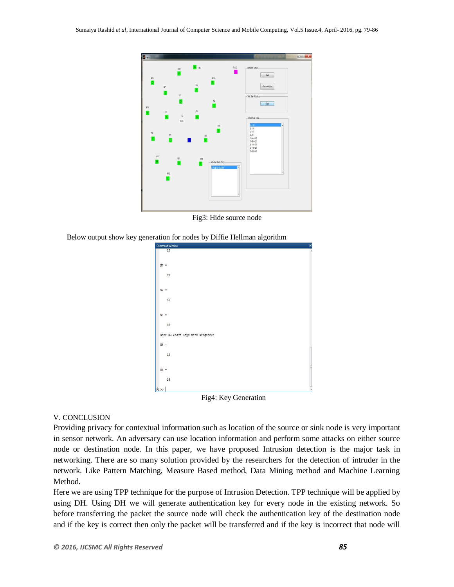

Fig3: Hide source node

Below output show key generation for nodes by Diffie Hellman algorithm



Fig4: Key Generation

#### V. CONCLUSION

Providing privacy for contextual information such as location of the source or sink node is very important in sensor network. An adversary can use location information and perform some attacks on either source node or destination node. In this paper, we have proposed Intrusion detection is the major task in networking. There are so many solution provided by the researchers for the detection of intruder in the network. Like Pattern Matching, Measure Based method, Data Mining method and Machine Learning Method.

Here we are using TPP technique for the purpose of Intrusion Detection. TPP technique will be applied by using DH. Using DH we will generate authentication key for every node in the existing network. So before transferring the packet the source node will check the authentication key of the destination node and if the key is correct then only the packet will be transferred and if the key is incorrect that node will